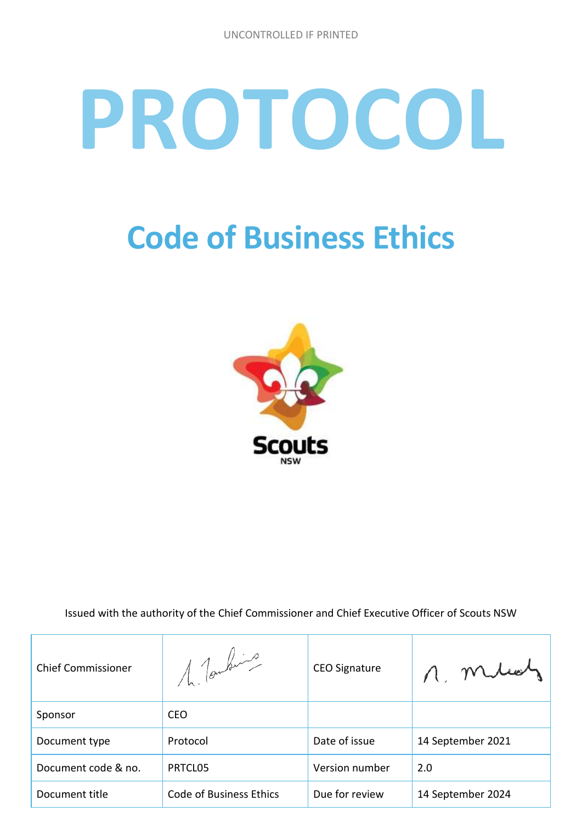# **PROTOCOL**

## **Code of Business Ethics**



Issued with the authority of the Chief Commissioner and Chief Executive Officer of Scouts NSW

| <b>Chief Commissioner</b> | 1 Tombins                      | <b>CEO Signature</b> |                   |
|---------------------------|--------------------------------|----------------------|-------------------|
| Sponsor                   | <b>CEO</b>                     |                      |                   |
| Document type             | Protocol                       | Date of issue        | 14 September 2021 |
| Document code & no.       | PRTCL05                        | Version number       | 2.0               |
| Document title            | <b>Code of Business Ethics</b> | Due for review       | 14 September 2024 |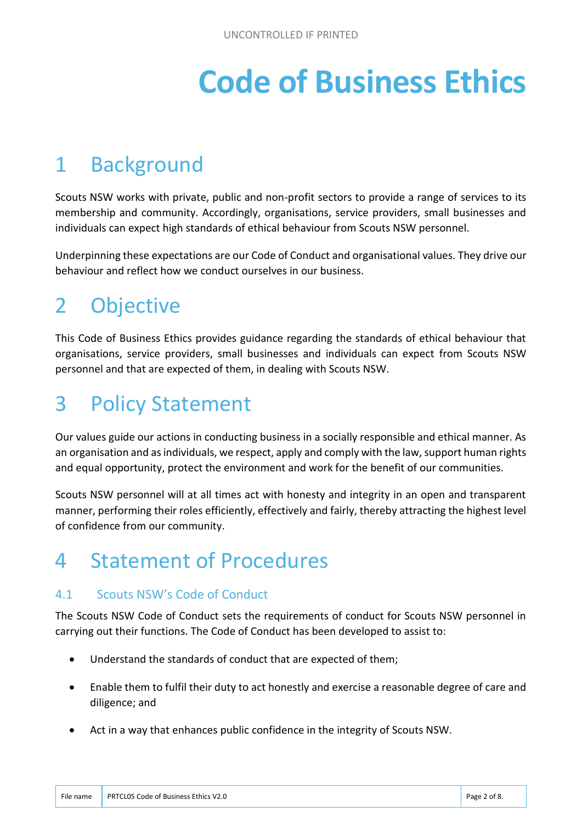# **Code of Business Ethics**

## 1 Background

Scouts NSW works with private, public and non-profit sectors to provide a range of services to its membership and community. Accordingly, organisations, service providers, small businesses and individuals can expect high standards of ethical behaviour from Scouts NSW personnel.

Underpinning these expectations are our Code of Conduct and organisational values. They drive our behaviour and reflect how we conduct ourselves in our business.

## 2 Objective

This Code of Business Ethics provides guidance regarding the standards of ethical behaviour that organisations, service providers, small businesses and individuals can expect from Scouts NSW personnel and that are expected of them, in dealing with Scouts NSW.

## 3 Policy Statement

Our values guide our actions in conducting business in a socially responsible and ethical manner. As an organisation and as individuals, we respect, apply and comply with the law, support human rights and equal opportunity, protect the environment and work for the benefit of our communities.

Scouts NSW personnel will at all times act with honesty and integrity in an open and transparent manner, performing their roles efficiently, effectively and fairly, thereby attracting the highest level of confidence from our community.

## 4 Statement of Procedures

#### 4.1 Scouts NSW's Code of Conduct

The Scouts NSW Code of Conduct sets the requirements of conduct for Scouts NSW personnel in carrying out their functions. The Code of Conduct has been developed to assist to:

- Understand the standards of conduct that are expected of them;
- Enable them to fulfil their duty to act honestly and exercise a reasonable degree of care and diligence; and
- Act in a way that enhances public confidence in the integrity of Scouts NSW.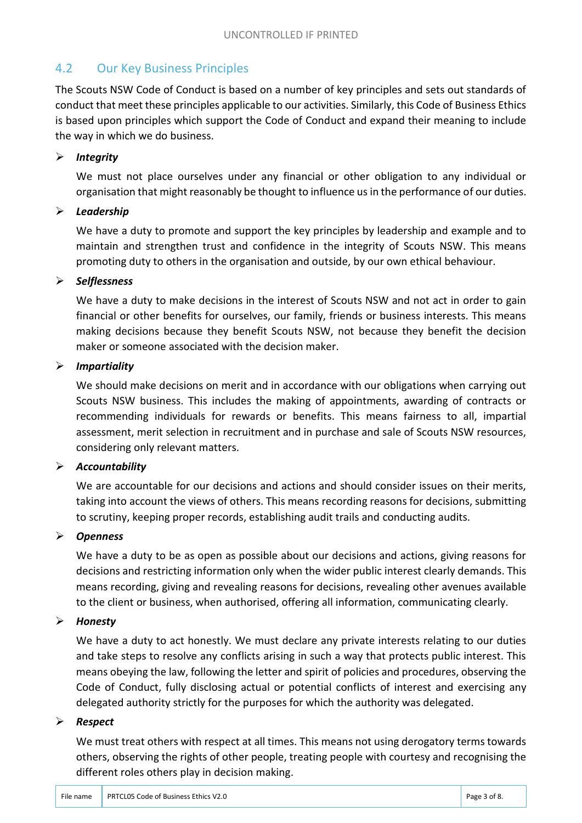#### 4.2 Our Key Business Principles

The Scouts NSW Code of Conduct is based on a number of key principles and sets out standards of conduct that meet these principles applicable to our activities. Similarly, this Code of Business Ethics is based upon principles which support the Code of Conduct and expand their meaning to include the way in which we do business.

#### *Integrity*

We must not place ourselves under any financial or other obligation to any individual or organisation that might reasonably be thought to influence us in the performance of our duties.

#### *Leadership*

We have a duty to promote and support the key principles by leadership and example and to maintain and strengthen trust and confidence in the integrity of Scouts NSW. This means promoting duty to others in the organisation and outside, by our own ethical behaviour.

#### *Selflessness*

We have a duty to make decisions in the interest of Scouts NSW and not act in order to gain financial or other benefits for ourselves, our family, friends or business interests. This means making decisions because they benefit Scouts NSW, not because they benefit the decision maker or someone associated with the decision maker.

#### *Impartiality*

We should make decisions on merit and in accordance with our obligations when carrying out Scouts NSW business. This includes the making of appointments, awarding of contracts or recommending individuals for rewards or benefits. This means fairness to all, impartial assessment, merit selection in recruitment and in purchase and sale of Scouts NSW resources, considering only relevant matters.

#### *Accountability*

We are accountable for our decisions and actions and should consider issues on their merits, taking into account the views of others. This means recording reasons for decisions, submitting to scrutiny, keeping proper records, establishing audit trails and conducting audits.

#### *Openness*

We have a duty to be as open as possible about our decisions and actions, giving reasons for decisions and restricting information only when the wider public interest clearly demands. This means recording, giving and revealing reasons for decisions, revealing other avenues available to the client or business, when authorised, offering all information, communicating clearly.

#### *Honesty*

We have a duty to act honestly. We must declare any private interests relating to our duties and take steps to resolve any conflicts arising in such a way that protects public interest. This means obeying the law, following the letter and spirit of policies and procedures, observing the Code of Conduct, fully disclosing actual or potential conflicts of interest and exercising any delegated authority strictly for the purposes for which the authority was delegated.

#### *Respect*

We must treat others with respect at all times. This means not using derogatory terms towards others, observing the rights of other people, treating people with courtesy and recognising the different roles others play in decision making.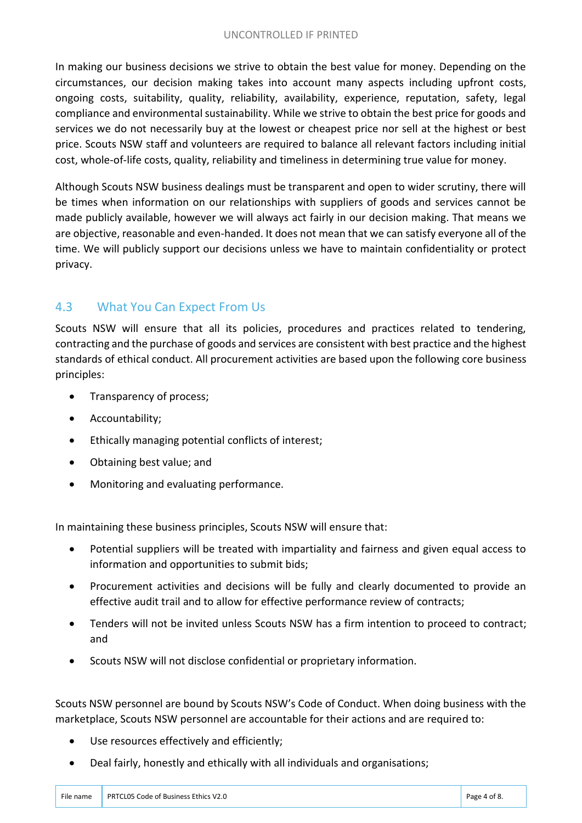#### UNCONTROLLED IF PRINTED

In making our business decisions we strive to obtain the best value for money. Depending on the circumstances, our decision making takes into account many aspects including upfront costs, ongoing costs, suitability, quality, reliability, availability, experience, reputation, safety, legal compliance and environmental sustainability. While we strive to obtain the best price for goods and services we do not necessarily buy at the lowest or cheapest price nor sell at the highest or best price. Scouts NSW staff and volunteers are required to balance all relevant factors including initial cost, whole-of-life costs, quality, reliability and timeliness in determining true value for money.

Although Scouts NSW business dealings must be transparent and open to wider scrutiny, there will be times when information on our relationships with suppliers of goods and services cannot be made publicly available, however we will always act fairly in our decision making. That means we are objective, reasonable and even-handed. It does not mean that we can satisfy everyone all of the time. We will publicly support our decisions unless we have to maintain confidentiality or protect privacy.

#### 4.3 What You Can Expect From Us

Scouts NSW will ensure that all its policies, procedures and practices related to tendering, contracting and the purchase of goods and services are consistent with best practice and the highest standards of ethical conduct. All procurement activities are based upon the following core business principles:

- Transparency of process;
- Accountability;
- Ethically managing potential conflicts of interest;
- Obtaining best value; and
- Monitoring and evaluating performance.

In maintaining these business principles, Scouts NSW will ensure that:

- Potential suppliers will be treated with impartiality and fairness and given equal access to information and opportunities to submit bids;
- Procurement activities and decisions will be fully and clearly documented to provide an effective audit trail and to allow for effective performance review of contracts;
- Tenders will not be invited unless Scouts NSW has a firm intention to proceed to contract; and
- Scouts NSW will not disclose confidential or proprietary information.

Scouts NSW personnel are bound by Scouts NSW's Code of Conduct. When doing business with the marketplace, Scouts NSW personnel are accountable for their actions and are required to:

- Use resources effectively and efficiently;
- Deal fairly, honestly and ethically with all individuals and organisations;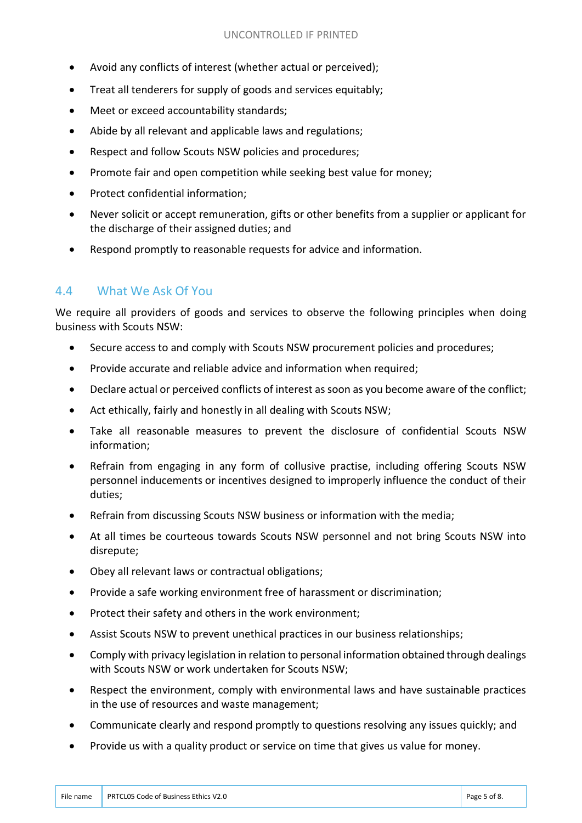- Avoid any conflicts of interest (whether actual or perceived);
- Treat all tenderers for supply of goods and services equitably;
- Meet or exceed accountability standards;
- Abide by all relevant and applicable laws and regulations;
- Respect and follow Scouts NSW policies and procedures;
- Promote fair and open competition while seeking best value for money;
- Protect confidential information:
- Never solicit or accept remuneration, gifts or other benefits from a supplier or applicant for the discharge of their assigned duties; and
- Respond promptly to reasonable requests for advice and information.

#### 4.4 What We Ask Of You

We require all providers of goods and services to observe the following principles when doing business with Scouts NSW:

- Secure access to and comply with Scouts NSW procurement policies and procedures;
- Provide accurate and reliable advice and information when required;
- Declare actual or perceived conflicts of interest as soon as you become aware of the conflict;
- Act ethically, fairly and honestly in all dealing with Scouts NSW;
- Take all reasonable measures to prevent the disclosure of confidential Scouts NSW information;
- Refrain from engaging in any form of collusive practise, including offering Scouts NSW personnel inducements or incentives designed to improperly influence the conduct of their duties;
- Refrain from discussing Scouts NSW business or information with the media;
- At all times be courteous towards Scouts NSW personnel and not bring Scouts NSW into disrepute;
- Obey all relevant laws or contractual obligations;
- Provide a safe working environment free of harassment or discrimination;
- Protect their safety and others in the work environment;
- Assist Scouts NSW to prevent unethical practices in our business relationships;
- Comply with privacy legislation in relation to personal information obtained through dealings with Scouts NSW or work undertaken for Scouts NSW;
- Respect the environment, comply with environmental laws and have sustainable practices in the use of resources and waste management;
- Communicate clearly and respond promptly to questions resolving any issues quickly; and
- Provide us with a quality product or service on time that gives us value for money.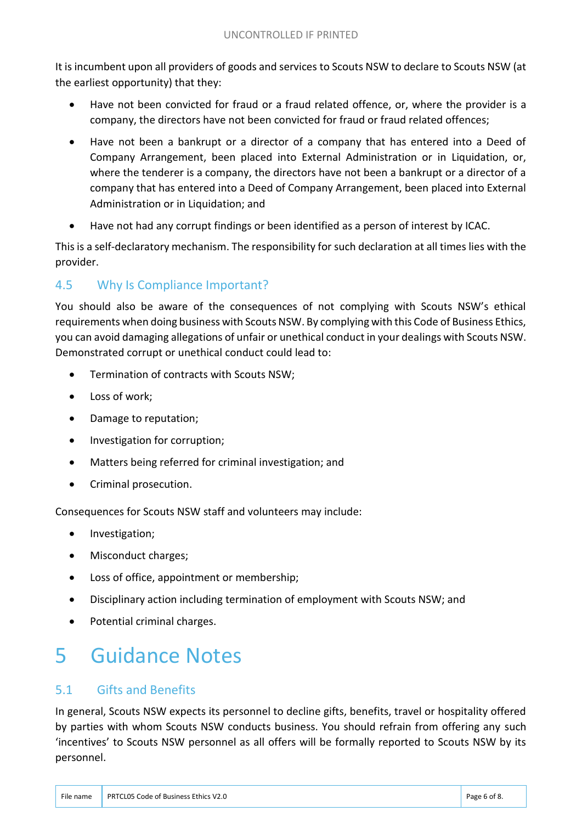It is incumbent upon all providers of goods and services to Scouts NSW to declare to Scouts NSW (at the earliest opportunity) that they:

- Have not been convicted for fraud or a fraud related offence, or, where the provider is a company, the directors have not been convicted for fraud or fraud related offences;
- Have not been a bankrupt or a director of a company that has entered into a Deed of Company Arrangement, been placed into External Administration or in Liquidation, or, where the tenderer is a company, the directors have not been a bankrupt or a director of a company that has entered into a Deed of Company Arrangement, been placed into External Administration or in Liquidation; and
- Have not had any corrupt findings or been identified as a person of interest by ICAC.

This is a self-declaratory mechanism. The responsibility for such declaration at all times lies with the provider.

#### 4.5 Why Is Compliance Important?

You should also be aware of the consequences of not complying with Scouts NSW's ethical requirements when doing business with Scouts NSW. By complying with this Code of Business Ethics, you can avoid damaging allegations of unfair or unethical conduct in your dealings with Scouts NSW. Demonstrated corrupt or unethical conduct could lead to:

- Termination of contracts with Scouts NSW;
- Loss of work;
- Damage to reputation;
- Investigation for corruption;
- Matters being referred for criminal investigation; and
- Criminal prosecution.

Consequences for Scouts NSW staff and volunteers may include:

- Investigation;
- Misconduct charges;
- Loss of office, appointment or membership;
- Disciplinary action including termination of employment with Scouts NSW; and
- Potential criminal charges.

### 5 Guidance Notes

#### 5.1 Gifts and Benefits

In general, Scouts NSW expects its personnel to decline gifts, benefits, travel or hospitality offered by parties with whom Scouts NSW conducts business. You should refrain from offering any such 'incentives' to Scouts NSW personnel as all offers will be formally reported to Scouts NSW by its personnel.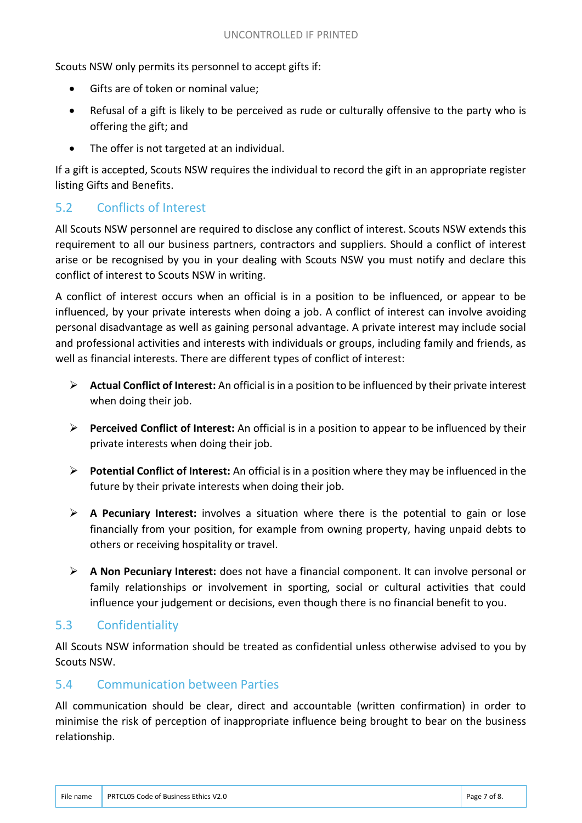Scouts NSW only permits its personnel to accept gifts if:

- Gifts are of token or nominal value;
- Refusal of a gift is likely to be perceived as rude or culturally offensive to the party who is offering the gift; and
- The offer is not targeted at an individual.

If a gift is accepted, Scouts NSW requires the individual to record the gift in an appropriate register listing Gifts and Benefits.

#### 5.2 Conflicts of Interest

All Scouts NSW personnel are required to disclose any conflict of interest. Scouts NSW extends this requirement to all our business partners, contractors and suppliers. Should a conflict of interest arise or be recognised by you in your dealing with Scouts NSW you must notify and declare this conflict of interest to Scouts NSW in writing.

A conflict of interest occurs when an official is in a position to be influenced, or appear to be influenced, by your private interests when doing a job. A conflict of interest can involve avoiding personal disadvantage as well as gaining personal advantage. A private interest may include social and professional activities and interests with individuals or groups, including family and friends, as well as financial interests. There are different types of conflict of interest:

- **Actual Conflict of Interest:** An official is in a position to be influenced by their private interest when doing their job.
- **Perceived Conflict of Interest:** An official is in a position to appear to be influenced by their private interests when doing their job.
- **Potential Conflict of Interest:** An official is in a position where they may be influenced in the future by their private interests when doing their job.
- **A Pecuniary Interest:** involves a situation where there is the potential to gain or lose financially from your position, for example from owning property, having unpaid debts to others or receiving hospitality or travel.
- **A Non Pecuniary Interest:** does not have a financial component. It can involve personal or family relationships or involvement in sporting, social or cultural activities that could influence your judgement or decisions, even though there is no financial benefit to you.

#### 5.3 Confidentiality

All Scouts NSW information should be treated as confidential unless otherwise advised to you by Scouts NSW.

#### 5.4 Communication between Parties

All communication should be clear, direct and accountable (written confirmation) in order to minimise the risk of perception of inappropriate influence being brought to bear on the business relationship.